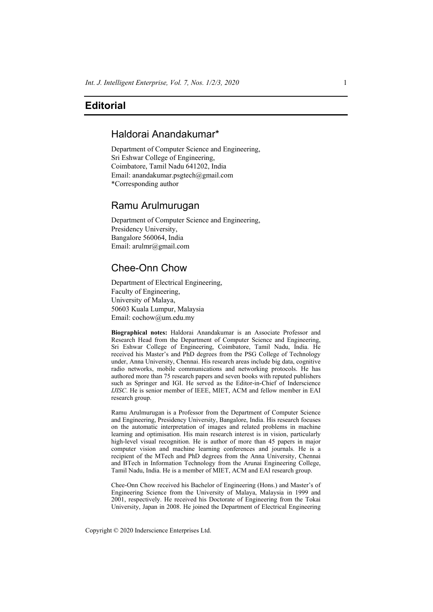## **Editorial**

# Haldorai Anandakumar\*

Department of Computer Science and Engineering, Sri Eshwar College of Engineering, Coimbatore, Tamil Nadu 641202, India Email: anandakumar.psgtech@gmail.com \*Corresponding author

### Ramu Arulmurugan

Department of Computer Science and Engineering, Presidency University, Bangalore 560064, India Email: arulmr@gmail.com

## Chee-Onn Chow

Department of Electrical Engineering, Faculty of Engineering, University of Malaya, 50603 Kuala Lumpur, Malaysia Email: cochow@um.edu.my

**Biographical notes:** Haldorai Anandakumar is an Associate Professor and Research Head from the Department of Computer Science and Engineering, Sri Eshwar College of Engineering, Coimbatore, Tamil Nadu, India. He received his Master's and PhD degrees from the PSG College of Technology under, Anna University, Chennai. His research areas include big data, cognitive radio networks, mobile communications and networking protocols. He has authored more than 75 research papers and seven books with reputed publishers such as Springer and IGI. He served as the Editor-in-Chief of Inderscience *IJISC*. He is senior member of IEEE, MIET, ACM and fellow member in EAI research group.

Ramu Arulmurugan is a Professor from the Department of Computer Science and Engineering, Presidency University, Bangalore, India. His research focuses on the automatic interpretation of images and related problems in machine learning and optimisation. His main research interest is in vision, particularly high-level visual recognition. He is author of more than 45 papers in major computer vision and machine learning conferences and journals. He is a recipient of the MTech and PhD degrees from the Anna University, Chennai and BTech in Information Technology from the Arunai Engineering College, Tamil Nadu, India. He is a member of MIET, ACM and EAI research group.

Chee-Onn Chow received his Bachelor of Engineering (Hons.) and Master's of Engineering Science from the University of Malaya, Malaysia in 1999 and 2001, respectively. He received his Doctorate of Engineering from the Tokai University, Japan in 2008. He joined the Department of Electrical Engineering